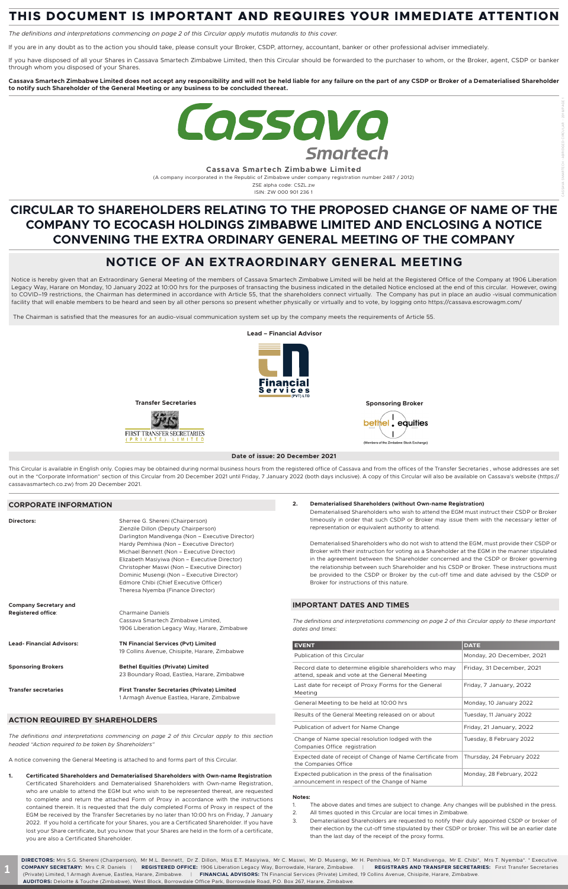**Cassava Smartech Zimbabwe Limited** 

(A company incorporated in the Republic of Zimbabwe under company registration number 2487 / 2012)

ZSE alpha code: CSZL.zw ISIN: ZW 000 901 236 1

# **THIS DOCUMENT IS IMPORTANT AND REQUIRES YOUR IMMEDIATE ATTENTION**

*The definitions and interpretations commencing on page 2 of this Circular apply mutatis mutandis to this cover.*

If you are in any doubt as to the action you should take, please consult your Broker, CSDP, attorney, accountant, banker or other professional adviser immediately.

Notice is hereby given that an Extraordinary General Meeting of the members of Cassava Smartech Zimbabwe Limited will be held at the Registered Office of the Company at 1906 Liberation Legacy Way, Harare on Monday, 10 January 2022 at 10:00 hrs for the purposes of transacting the business indicated in the detailed Notice enclosed at the end of this circular. However, owing to COVID–19 restrictions, the Chairman has determined in accordance with Article 55, that the shareholders connect virtually. The Company has put in place an audio -visual communication facility that will enable members to be heard and seen by all other persons so present whether physically or virtually and to vote, by logging onto https://cassava.escrowagm.com/

If you have disposed of all your Shares in Cassava Smartech Zimbabwe Limited, then this Circular should be forwarded to the purchaser to whom, or the Broker, agent, CSDP or banker through whom you disposed of your Shares.

**Cassava Smartech Zimbabwe Limited does not accept any responsibility and will not be held liable for any failure on the part of any CSDP or Broker of a Dematerialised Shareholder to notify such Shareholder of the General Meeting or any business to be concluded thereat.**



# **CIRCULAR TO SHAREHOLDERS RELATING TO THE PROPOSED CHANGE OF NAME OF THE COMPANY TO ECOCASH HOLDINGS ZIMBABWE LIMITED AND ENCLOSING A NOTICE CONVENING THE EXTRA ORDINARY GENERAL MEETING OF THE COMPANY**

# **NOTICE OF AN EXTRAORDINARY GENERAL MEETING**

This Circular is available in English only. Copies may be obtained during normal business hours from the registered office of Cassava and from the offices of the Transfer Secretaries, whose addresses are set out in the "Corporate Information" section of this Circular from 20 December 2021 until Friday, 7 January 2022 (both days inclusive). A copy of this Circular will also be available on Cassava's website (https:// cassavasmartech.co.zw) from 20 December 2021.

**Directors:** Sherree G. Shereni (Chairperson) Zienzile Dillon (Deputy Chairperson) Darlington Mandivenga (Non – Executive Director) Hardy Pemhiwa (Non – Executive Director) Michael Bennett (Non – Executive Director)

The Chairman is satisfied that the measures for an audio-visual communication system set up by the company meets the requirements of Article 55.

# **Date of issue: 20 December 2021**



# **CORPORATE INFORMATION**

| Elizabeth Masiyiwa (Non – Executive Director) |
|-----------------------------------------------|
| Christopher Maswi (Non – Executive Director)  |
| Dominic Musengi (Non – Executive Director)    |
| Edmore Chibi (Chief Executive Officer)        |
| Theresa Nyemba (Finance Director)             |

| <b>Company Secretary and</b>    |                                                     |
|---------------------------------|-----------------------------------------------------|
| <b>Registered office:</b>       | <b>Charmaine Daniels</b>                            |
|                                 | Cassava Smartech Zimbabwe Limited.                  |
|                                 | 1906 Liberation Legacy Way, Harare, Zimbabwe        |
| <b>Lead-Financial Advisors:</b> | <b>TN Financial Services (Pvt) Limited</b>          |
|                                 | 19 Collins Avenue, Chisipite, Harare, Zimbabwe      |
| <b>Sponsoring Brokers</b>       | <b>Bethel Equities (Private) Limited</b>            |
|                                 | 23 Boundary Road, Eastlea, Harare, Zimbabwe         |
| <b>Transfer secretaries</b>     | <b>First Transfer Secretaries (Private) Limited</b> |
|                                 | 1 Armagh Avenue Eastlea, Harare, Zimbabwe           |

# **ACTION REQUIRED BY SHAREHOLDERS**

*The definitions and interpretations commencing on page 2 of this Circular apply to this section headed "Action required to be taken by Shareholders"*

A notice convening the General Meeting is attached to and forms part of this Circular.

**1. Certificated Shareholders and Dematerialised Shareholders with Own-name Registration**  Certificated Shareholders and Dematerialised Shareholders with Own-name Registration, who are unable to attend the EGM but who wish to be represented thereat, are requested to complete and return the attached Form of Proxy in accordance with the instructions contained therein. It is requested that the duly completed Forms of Proxy in respect of the EGM be received by the Transfer Secretaries by no later than 10:00 hrs on Friday, 7 January 2022. If you hold a certificate for your Shares, you are a Certificated Shareholder. If you have lost your Share certificate, but you know that your Shares are held in the form of a certificate, you are also a Certificated Shareholder.

# **2. Dematerialised Shareholders (without Own-name Registration)**

Dematerialised Shareholders who wish to attend the EGM must instruct their CSDP or Broker timeously in order that such CSDP or Broker may issue them with the necessary letter of representation or equivalent authority to attend.

Dematerialised Shareholders who do not wish to attend the EGM, must provide their CSDP or Broker with their instruction for voting as a Shareholder at the EGM in the manner stipulated in the agreement between the Shareholder concerned and the CSDP or Broker governing the relationship between such Shareholder and his CSDP or Broker. These instructions must be provided to the CSDP or Broker by the cut-off time and date advised by the CSDP or Broker for instructions of this nature.

# **IMPORTANT DATES AND TIMES**

*The definitions and interpretations commencing on page 2 of this Circular apply to these important dates and times:*

| <b>EVENT</b>                                                                                            | <b>DATE</b>                |  |  |
|---------------------------------------------------------------------------------------------------------|----------------------------|--|--|
| Publication of this Circular                                                                            | Monday, 20 December, 2021  |  |  |
| Record date to determine eligible shareholders who may<br>attend, speak and vote at the General Meeting | Friday, 31 December, 2021  |  |  |
| Last date for receipt of Proxy Forms for the General<br>Meeting                                         | Friday, 7 January, 2022    |  |  |
| General Meeting to be held at 10:00 hrs                                                                 | Monday, 10 January 2022    |  |  |
| Results of the General Meeting released on or about                                                     | Tuesday, 11 January 2022   |  |  |
| Publication of advert for Name Change                                                                   | Friday, 21 January, 2022   |  |  |
| Change of Name special resolution lodged with the<br>Companies Office registration                      | Tuesday, 8 February 2022   |  |  |
| Expected date of receipt of Change of Name Certificate from<br>the Companies Office                     | Thursday, 24 February 2022 |  |  |
| Expected publication in the press of the finalisation<br>announcement in respect of the Change of Name  | Monday, 28 February, 2022  |  |  |

#### **Notes:**

- 1. The above dates and times are subject to change. Any changes will be published in the press.
- 2. All times quoted in this Circular are local times in Zimbabwe.
- 3. Dematerialised Shareholders are requested to notify their duly appointed CSDP or broker of their election by the cut-off time stipulated by their CSDP or broker. This will be an earlier date than the last day of the receipt of the proxy forms.

**DIRECTORS:** Mrs S.G. Shereni (Chairperson), Mr M.L. Bennett, Dr Z. Dillon, Miss E.T. Masiyiwa, Mr C. Maswi, Mr D. Musengi, Mr H. Pemhiwa, Mr D.T. Mandivenga, Mr E. Chibi\*, Mrs T. Nyemba\*. \* Executive. **COMPANY SECRETARY:** Mrs C.R. Daniels | **REGISTERED OFFICE:** 1906 Liberation Legacy Way, Borrowdale, Harare, Zimbabwe. | **REGISTRARS AND TRANSFER SECRETARIES:** First Transfer Secretaries (Private) Limited, 1 Armagh Avenue, Eastlea, Harare, Zimbabwe. | **FINANCIAL ADVISORS:** TN Financial Services (Private) Limited, 19 Collins Avenue, Chisipite, Harare, Zimbabwe. **AUDITORS:** Deloitte & Touche (Zimbabwe), West Block, Borrowdale Office Park, Borrowdale Road, P.O. Box 267, Harare, Zimbabwe.

**1**

CASSAVA SMARTECH - ABRIDGED CIRCULAR - 2016/PAGE 1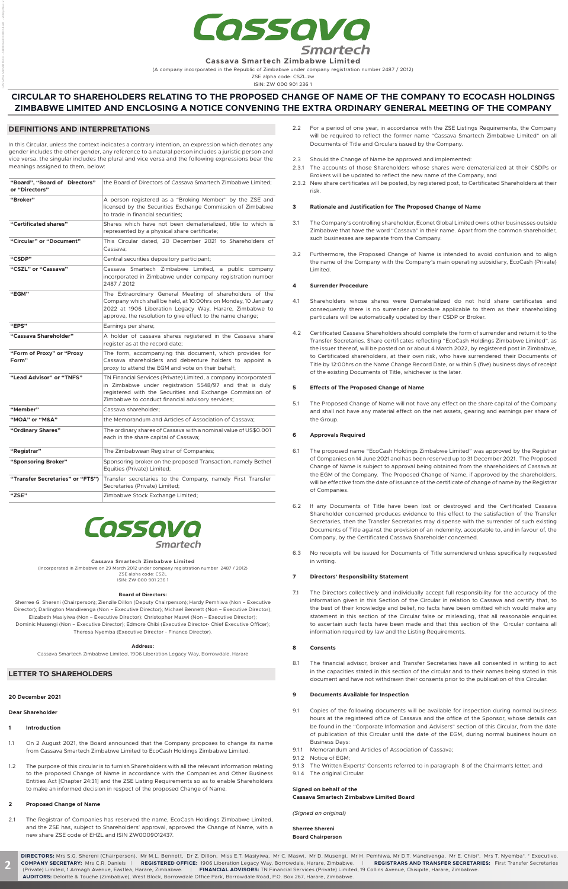

**Cassava Smartech Zimbabwe Limited** 

(A company incorporated in the Republic of Zimbabwe under company registration number 2487 / 2012)

ZSE alpha code: CSZL.zw ISIN: ZW 000 901 236 1

# **CIRCULAR TO SHAREHOLDERS RELATING TO THE PROPOSED CHANGE OF NAME OF THE COMPANY TO ECOCASH HOLDINGS ZIMBABWE LIMITED AND ENCLOSING A NOTICE CONVENING THE EXTRA ORDINARY GENERAL MEETING OF THE COMPANY**

# **DEFINITIONS AND INTERPRETATIONS**

In this Circular, unless the context indicates a contrary intention, an expression which denotes any gender includes the other gender, any reference to a natural person includes a juristic person and vice versa, the singular includes the plural and vice versa and the following expressions bear the meanings assigned to them, below:

| "Board", "Board of Directors"<br>or "Directors" | the Board of Directors of Cassava Smartech Zimbabwe Limited:                                                                                                                                                                                        |  |
|-------------------------------------------------|-----------------------------------------------------------------------------------------------------------------------------------------------------------------------------------------------------------------------------------------------------|--|
| "Broker"                                        | A person registered as a "Broking Member" by the ZSE and<br>licensed by the Securities Exchange Commission of Zimbabwe<br>to trade in financial securities:                                                                                         |  |
| "Certificated shares"                           | Shares which have not been dematerialized, title to which is<br>represented by a physical share certificate;                                                                                                                                        |  |
| "Circular" or "Document"                        | This Circular dated, 20 December 2021 to Shareholders of<br>Cassava;                                                                                                                                                                                |  |
| "CSDP"                                          | Central securities depository participant;                                                                                                                                                                                                          |  |
| "CSZL" or "Cassava"                             | Cassava Smartech Zimbabwe Limited, a public company<br>incorporated in Zimbabwe under company registration number<br>2487 / 2012                                                                                                                    |  |
| "EGM"                                           | The Extraordinary General Meeting of shareholders of the<br>Company which shall be held, at 10:00hrs on Monday, 10 January<br>2022 at 1906 Liberation Legacy Way, Harare, Zimbabwe to<br>approve, the resolution to give effect to the name change; |  |
| "EPS"                                           | Earnings per share;                                                                                                                                                                                                                                 |  |
| "Cassava Shareholder"                           | A holder of cassava shares registered in the Cassava share<br>register as at the record date;                                                                                                                                                       |  |
| "Form of Proxy" or "Proxy<br>Form"              | The form, accompanying this document, which provides for<br>Cassava shareholders and debenture holders to appoint a<br>proxy to attend the EGM and vote on their behalf;                                                                            |  |
| "Lead Advisor" or "TNFS"                        | TN Financial Services (Private) Limited, a company incorporated<br>in Zimbabwe under registration 5548/97 and that is duly<br>registered with the Securities and Exchange Commission of<br>Zimbabwe to conduct financial advisory services;         |  |
| "Member"                                        | Cassava shareholder;                                                                                                                                                                                                                                |  |
| "MOA" or "M&A"                                  | the Memorandum and Articles of Association of Cassava;                                                                                                                                                                                              |  |
| "Ordinary Shares"                               | The ordinary shares of Cassava with a nominal value of US\$0.001<br>each in the share capital of Cassava;                                                                                                                                           |  |
| "Registrar"                                     | The Zimbabwean Registrar of Companies;                                                                                                                                                                                                              |  |
| "Sponsoring Broker"                             | Sponsoring broker on the proposed Transaction, namely Bethel<br>Equities (Private) Limited;                                                                                                                                                         |  |
| "Transfer Secretaries" or "FTS")                | Transfer secretaries to the Company, namely First Transfer<br>Secretaries (Private) Limited;                                                                                                                                                        |  |
| "ZSE"                                           | Zimbabwe Stock Exchange Limited;                                                                                                                                                                                                                    |  |



# **LETTER TO SHAREHOLDERS**

#### **20 December 2021**

#### **Dear Shareholder**

#### **1 Introduction**

- 1.1 On 2 August 2021, the Board announced that the Company proposes to change its name from Cassava Smartech Zimbabwe Limited to EcoCash Holdings Zimbabwe Limited.
- 1.2 The purpose of this circular is to furnish Shareholders with all the relevant information relating to the proposed Change of Name in accordance with the Companies and Other Business Entities Act [Chapter 24:31] and the ZSE Listing Requirements so as to enable Shareholders to make an informed decision in respect of the proposed Change of Name.

#### **2 Proposed Change of Name**

2.1 The Registrar of Companies has reserved the name, EcoCash Holdings Zimbabwe Limited, and the ZSE has, subject to Shareholders' approval, approved the Change of Name, with a new share ZSE code of EHZL and ISIN ZW0009012437.

- 2.2 For a period of one year, in accordance with the ZSE Listings Requirements, the Company will be required to reflect the former name "Cassava Smartech Zimbabwe Limited" on all Documents of Title and Circulars issued by the Company.
- 2.3 Should the Change of Name be approved and implemented:
- 2.3.1 The accounts of those Shareholders whose shares were dematerialized at their CSDPs or Brokers will be updated to reflect the new name of the Company, and
- 2.3.2 New share certificates will be posted, by registered post, to Certificated Shareholders at their risk.

### **3 Rationale and Justification for The Proposed Change of Name**

- 3.1 The Company's controlling shareholder, Econet Global Limited owns other businesses outside Zimbabwe that have the word "Cassava" in their name. Apart from the common shareholder, such businesses are separate from the Company.
- Furthermore, the Proposed Change of Name is intended to avoid confusion and to align the name of the Company with the Company's main operating subsidiary, EcoCash (Private) Limited.

# **4 Surrender Procedure**

- 4.1 Shareholders whose shares were Dematerialized do not hold share certificates and consequently there is no surrender procedure applicable to them as their shareholding particulars will be automatically updated by their CSDP or Broker.
- 4.2 Certificated Cassava Shareholders should complete the form of surrender and return it to the Transfer Secretaries. Share certificates reflecting "EcoCash Holdings Zimbabwe Limited", as the issuer thereof, will be posted on or about 4 March 2022, by registered post in Zimbabwe, to Certificated shareholders, at their own risk, who have surrendered their Documents of Title by 12:00hrs on the Name Change Record Date, or within 5 (five) business days of receipt of the existing Documents of Title, whichever is the later.

# **5 Effects of The Proposed Change of Name**

5.1 The Proposed Change of Name will not have any effect on the share capital of the Company and shall not have any material effect on the net assets, gearing and earnings per share of the Group.

# **6 Approvals Required**

- 6.1 The proposed name "EcoCash Holdings Zimbabwe Limited" was approved by the Registrar of Companies on 14 June 2021 and has been reserved up to 31 December 2021. The Proposed Change of Name is subject to approval being obtained from the shareholders of Cassava at the EGM of the Company. The Proposed Change of Name, if approved by the shareholders, will be effective from the date of issuance of the certificate of change of name by the Registrar of Companies.
- 6.2 If any Documents of Title have been lost or destroyed and the Certificated Cassava Shareholder concerned produces evidence to this effect to the satisfaction of the Transfer Secretaries, then the Transfer Secretaries may dispense with the surrender of such existing Documents of Title against the provision of an indemnity, acceptable to, and in favour of, the Company, by the Certificated Cassava Shareholder concerned.
- 6.3 No receipts will be issued for Documents of Title surrendered unless specifically requested

in writing.

#### **7 Directors' Responsibility Statement**

7.1 The Directors collectively and individually accept full responsibility for the accuracy of the information given in this Section of the Circular in relation to Cassava and certify that, to the best of their knowledge and belief, no facts have been omitted which would make any statement in this section of the Circular false or misleading, that all reasonable enquiries to ascertain such facts have been made and that this section of the Circular contains all information required by law and the Listing Requirements.

#### **8 Consents**

8.1 The financial advisor, broker and Transfer Secretaries have all consented in writing to act in the capacities stated in this section of the circular and to their names being stated in this document and have not withdrawn their consents prior to the publication of this Circular.

#### **9 Documents Available for Inspection**

- 9.1 Copies of the following documents will be available for inspection during normal business hours at the registered office of Cassava and the office of the Sponsor, whose details can be found in the "Corporate Information and Advisers" section of this Circular, from the date of publication of this Circular until the date of the EGM, during normal business hours on Business Days:
- 9.1.1 Memorandum and Articles of Association of Cassava;
- 9.1.2 Notice of EGM;
- 9.1.3 The Written Experts' Consents referred to in paragraph 8 of the Chairman's letter; and
- 9.1.4 The original Circular.

#### **Signed on behalf of the**

#### **Cassava Smartech Zimbabwe Limited Board**

*(Signed on original)*

#### **Sherree Shereni Board Chairperson**

**Cassava Smartech Zimbabwe Limited**  (Incorporated in Zimbabwe on 29 March 2012 under company registration number 2487 / 2012) ZSE alpha code: CSZL ISIN: ZW 000 901 236 1

#### **Board of Directors:**

Sherree G. Shereni (Chairperson); Zienzile Dillon (Deputy Chairperson); Hardy Pemhiwa (Non – Executive Director); Darlington Mandivenga (Non – Executive Director); Michael Bennett (Non – Executive Director); Elizabeth Masiyiwa (Non – Executive Director); Christopher Maswi (Non – Executive Director); Dominic Musengi (Non – Executive Director); Edmore Chibi (Executive Director- Chief Executive Officer); Theresa Nyemba (Executive Director - Finance Director).

#### **Address:**

Cassava Smartech Zimbabwe Limited, 1906 Liberation Legacy Way, Borrowdale, Harare

**2**

CASSAVA SAMARTECH - ABRIDGED CIRCULAR - 2016/PAGE 2

**DIRECTORS:** Mrs S.G. Shereni (Chairperson), Mr M.L. Bennett, Dr Z. Dillon, Miss E.T. Masiyiwa, Mr C. Maswi, Mr D. Musengi, Mr H. Pemhiwa, Mr D.T. Mandivenga, Mr E. Chibi\*, Mrs T. Nyemba\*. \* Executive. **COMPANY SECRETARY:** Mrs C.R. Daniels | **REGISTERED OFFICE:** 1906 Liberation Legacy Way, Borrowdale, Harare, Zimbabwe. | **REGISTRARS AND TRANSFER SECRETARIES:** First Transfer Secretaries (Private) Limited, 1 Armagh Avenue, Eastlea, Harare, Zimbabwe. | **FINANCIAL ADVISORS:** TN Financial Services (Private) Limited, 19 Collins Avenue, Chisipite, Harare, Zimbabwe. **AUDITORS:** Deloitte & Touche (Zimbabwe), West Block, Borrowdale Office Park, Borrowdale Road, P.O. Box 267, Harare, Zimbabwe.